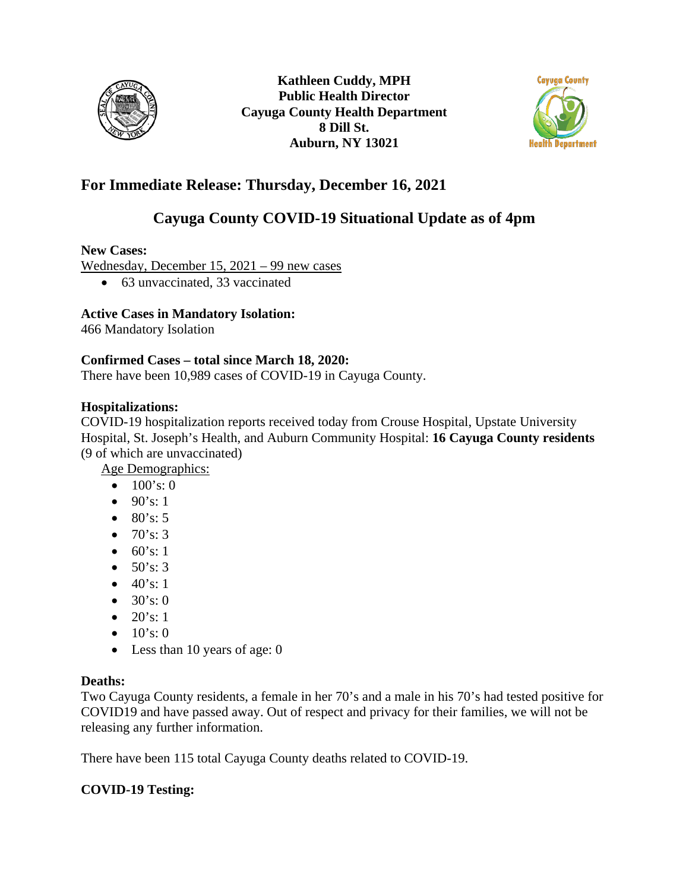



## **For Immediate Release: Thursday, December 16, 2021**

# **Cayuga County COVID-19 Situational Update as of 4pm**

### **New Cases:**

Wednesday, December 15, 2021 – 99 new cases

• 63 unvaccinated, 33 vaccinated

### **Active Cases in Mandatory Isolation:**

466 Mandatory Isolation

### **Confirmed Cases – total since March 18, 2020:**

There have been 10,989 cases of COVID-19 in Cayuga County.

### **Hospitalizations:**

COVID-19 hospitalization reports received today from Crouse Hospital, Upstate University Hospital, St. Joseph's Health, and Auburn Community Hospital: **16 Cayuga County residents**  (9 of which are unvaccinated)

Age Demographics:

- $100's: 0$
- $90's: 1$
- $80's: 5$
- $70's: 3$
- $60's: 1$
- $50's: 3$
- $40's: 1$
- $30's:0$
- $20's: 1$
- $10's:0$
- Less than 10 years of age: 0

### **Deaths:**

Two Cayuga County residents, a female in her 70's and a male in his 70's had tested positive for COVID19 and have passed away. Out of respect and privacy for their families, we will not be releasing any further information.

There have been 115 total Cayuga County deaths related to COVID-19.

### **COVID-19 Testing:**